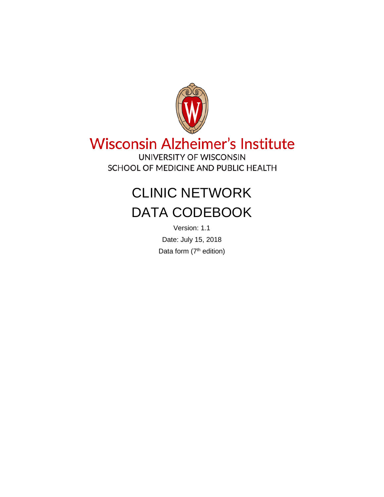

# **Wisconsin Alzheimer's Institute**

UNIVERSITY OF WISCONSIN SCHOOL OF MEDICINE AND PUBLIC HEALTH

# CLINIC NETWORK DATA CODEBOOK

Version: 1.1 Date: July 15, 2018 Data form  $(7<sup>th</sup>$  edition)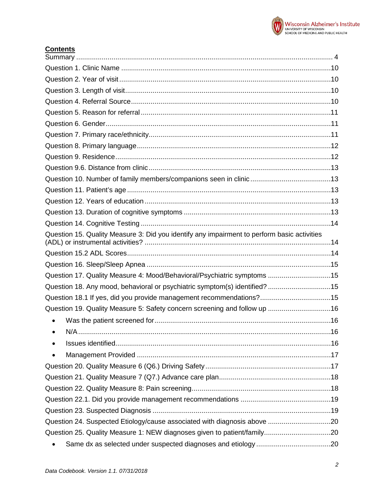

# **Contents**

| Question 15. Quality Measure 3: Did you identify any impairment to perform basic activities |  |
|---------------------------------------------------------------------------------------------|--|
|                                                                                             |  |
|                                                                                             |  |
| Question 17. Quality Measure 4: Mood/Behavioral/Psychiatric symptoms 15                     |  |
| Question 18. Any mood, behavioral or psychiatric symptom(s) identified? 15                  |  |
| Question 18.1 If yes, did you provide management recommendations?15                         |  |
| Question 19. Quality Measure 5: Safety concern screening and follow up 16                   |  |
|                                                                                             |  |
|                                                                                             |  |
|                                                                                             |  |
|                                                                                             |  |
|                                                                                             |  |
|                                                                                             |  |
|                                                                                             |  |
|                                                                                             |  |
|                                                                                             |  |
| Question 24. Suspected Etiology/cause associated with diagnosis above 20                    |  |
|                                                                                             |  |
| $\bullet$                                                                                   |  |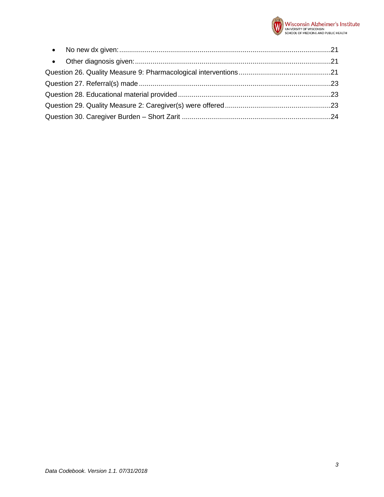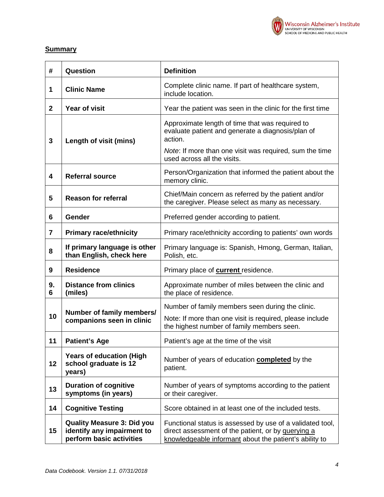

# <span id="page-3-0"></span>**Summary**

| #                       | Question                                                                                    | <b>Definition</b>                                                                                                                                                                                         |  |
|-------------------------|---------------------------------------------------------------------------------------------|-----------------------------------------------------------------------------------------------------------------------------------------------------------------------------------------------------------|--|
| 1                       | <b>Clinic Name</b>                                                                          | Complete clinic name. If part of healthcare system,<br>include location.                                                                                                                                  |  |
| $\mathbf{2}$            | <b>Year of visit</b>                                                                        | Year the patient was seen in the clinic for the first time                                                                                                                                                |  |
| 3                       | Length of visit (mins)                                                                      | Approximate length of time that was required to<br>evaluate patient and generate a diagnosis/plan of<br>action.<br>Note: If more than one visit was required, sum the time<br>used across all the visits. |  |
| $\overline{\mathbf{4}}$ | <b>Referral source</b>                                                                      | Person/Organization that informed the patient about the<br>memory clinic.                                                                                                                                 |  |
| 5                       | <b>Reason for referral</b>                                                                  | Chief/Main concern as referred by the patient and/or<br>the caregiver. Please select as many as necessary.                                                                                                |  |
| 6                       | Gender                                                                                      | Preferred gender according to patient.                                                                                                                                                                    |  |
| $\overline{\mathbf{7}}$ | <b>Primary race/ethnicity</b>                                                               | Primary race/ethnicity according to patients' own words                                                                                                                                                   |  |
| 8                       | If primary language is other<br>than English, check here                                    | Primary language is: Spanish, Hmong, German, Italian,<br>Polish, etc.                                                                                                                                     |  |
| 9                       | <b>Residence</b>                                                                            | Primary place of <b>current</b> residence.                                                                                                                                                                |  |
| 9.<br>6                 | <b>Distance from clinics</b><br>(miles)                                                     | Approximate number of miles between the clinic and<br>the place of residence.                                                                                                                             |  |
|                         | Number of family members/                                                                   | Number of family members seen during the clinic.                                                                                                                                                          |  |
| 10                      | companions seen in clinic                                                                   | Note: If more than one visit is required, please include<br>the highest number of family members seen.                                                                                                    |  |
| 11                      | <b>Patient's Age</b>                                                                        | Patient's age at the time of the visit                                                                                                                                                                    |  |
| 12                      | <b>Years of education (High</b><br>school graduate is 12<br>years)                          | Number of years of education <b>completed</b> by the<br>patient.                                                                                                                                          |  |
| 13                      | <b>Duration of cognitive</b><br>symptoms (in years)                                         | Number of years of symptoms according to the patient<br>or their caregiver.                                                                                                                               |  |
| 14                      | <b>Cognitive Testing</b>                                                                    | Score obtained in at least one of the included tests.                                                                                                                                                     |  |
| 15                      | <b>Quality Measure 3: Did you</b><br>identify any impairment to<br>perform basic activities | Functional status is assessed by use of a validated tool,<br>direct assessment of the patient, or by querying a<br>knowledgeable informant about the patient's ability to                                 |  |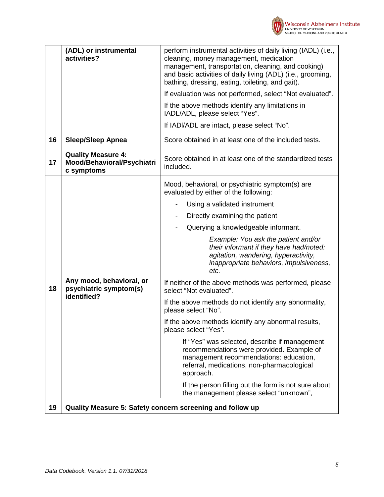

|    | (ADL) or instrumental<br>activities?                                  | perform instrumental activities of daily living (IADL) (i.e.,<br>cleaning, money management, medication<br>management, transportation, cleaning, and cooking)<br>and basic activities of daily living (ADL) (i.e., grooming,<br>bathing, dressing, eating, toileting, and gait). |
|----|-----------------------------------------------------------------------|----------------------------------------------------------------------------------------------------------------------------------------------------------------------------------------------------------------------------------------------------------------------------------|
|    |                                                                       | If evaluation was not performed, select "Not evaluated".                                                                                                                                                                                                                         |
|    |                                                                       | If the above methods identify any limitations in<br>IADL/ADL, please select "Yes".                                                                                                                                                                                               |
|    |                                                                       | If IADI/ADL are intact, please select "No".                                                                                                                                                                                                                                      |
| 16 | <b>Sleep/Sleep Apnea</b>                                              | Score obtained in at least one of the included tests.                                                                                                                                                                                                                            |
| 17 | <b>Quality Measure 4:</b><br>Mood/Behavioral/Psychiatri<br>c symptoms | Score obtained in at least one of the standardized tests<br>included.                                                                                                                                                                                                            |
|    |                                                                       | Mood, behavioral, or psychiatric symptom(s) are<br>evaluated by either of the following:                                                                                                                                                                                         |
|    |                                                                       | Using a validated instrument                                                                                                                                                                                                                                                     |
|    |                                                                       | Directly examining the patient                                                                                                                                                                                                                                                   |
|    |                                                                       | Querying a knowledgeable informant.                                                                                                                                                                                                                                              |
|    |                                                                       | Example: You ask the patient and/or<br>their informant if they have had/noted:<br>agitation, wandering, hyperactivity,<br>inappropriate behaviors, impulsiveness,<br>etc.                                                                                                        |
| 18 | Any mood, behavioral, or<br>psychiatric symptom(s)<br>identified?     | If neither of the above methods was performed, please<br>select "Not evaluated".                                                                                                                                                                                                 |
|    |                                                                       | If the above methods do not identify any abnormality,<br>please select "No".                                                                                                                                                                                                     |
|    |                                                                       | If the above methods identify any abnormal results,<br>please select "Yes".                                                                                                                                                                                                      |
|    |                                                                       | If "Yes" was selected, describe if management<br>recommendations were provided. Example of<br>management recommendations: education,<br>referral, medications, non-pharmacological<br>approach.                                                                                  |
|    |                                                                       | If the person filling out the form is not sure about<br>the management please select "unknown",                                                                                                                                                                                  |
| 19 |                                                                       | Quality Measure 5: Safety concern screening and follow up                                                                                                                                                                                                                        |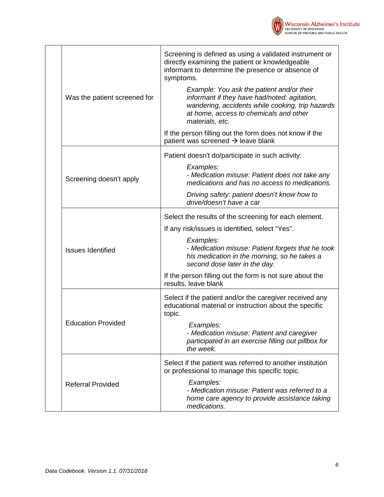

|  | Was the patient screened for | Screening is defined as using a validated instrument or<br>directly examining the patient or knowledgeable<br>informant to determine the presence or absence of<br>symptoms.                               |
|--|------------------------------|------------------------------------------------------------------------------------------------------------------------------------------------------------------------------------------------------------|
|  |                              | Example: You ask the patient and/or their<br>informant if they have had/noted: agitation,<br>wandering, accidents while cooking, trip hazards<br>at home, access to chemicals and other<br>materials, etc. |
|  |                              | If the person filling out the form does not know if the<br>patient was screened $\rightarrow$ leave blank                                                                                                  |
|  |                              | Patient doesn't do/participate in such activity:                                                                                                                                                           |
|  | Screening doesn't apply      | Examples:<br>- Medication misuse: Patient does not take any<br>medications and has no access to medications.                                                                                               |
|  |                              | Driving safety: patient doesn't know how to<br>drive/doesn't have a car                                                                                                                                    |
|  | <b>Issues Identified</b>     | Select the results of the screening for each element.                                                                                                                                                      |
|  |                              | If any risk/issues is identified, select "Yes".                                                                                                                                                            |
|  |                              | Examples:<br>- Medication misuse: Patient forgets that he took<br>his medication in the morning, so he takes a<br>second dose later in the day.                                                            |
|  |                              | If the person filling out the form is not sure about the<br>results, leave blank                                                                                                                           |
|  | <b>Education Provided</b>    | Select if the patient and/or the caregiver received any<br>educational material or instruction about the specific<br>topic.                                                                                |
|  |                              | Examples:<br>- Medication misuse: Patient and caregiver<br>participated in an exercise filling out pillbox for<br>the week.                                                                                |
|  | <b>Referral Provided</b>     | Select if the patient was referred to another institution<br>or professional to manage this specific topic.                                                                                                |
|  |                              | Examples:<br>- Medication misuse: Patient was referred to a<br>home care agency to provide assistance taking<br>medications.                                                                               |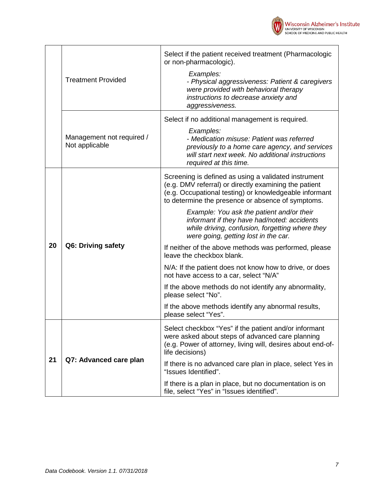

|    | <b>Treatment Provided</b>                   | Select if the patient received treatment (Pharmacologic<br>or non-pharmacologic).<br>Examples:<br>- Physical aggressiveness: Patient & caregivers<br>were provided with behavioral therapy<br>instructions to decrease anxiety and<br>aggressiveness. |  |
|----|---------------------------------------------|-------------------------------------------------------------------------------------------------------------------------------------------------------------------------------------------------------------------------------------------------------|--|
|    | Management not required /<br>Not applicable | Select if no additional management is required.<br>Examples:<br>- Medication misuse: Patient was referred<br>previously to a home care agency, and services<br>will start next week. No additional instructions<br>required at this time.             |  |
|    | Q6: Driving safety                          | Screening is defined as using a validated instrument<br>(e.g. DMV referral) or directly examining the patient<br>(e.g. Occupational testing) or knowledgeable informant<br>to determine the presence or absence of symptoms.                          |  |
|    |                                             | Example: You ask the patient and/or their<br>informant if they have had/noted: accidents<br>while driving, confusion, forgetting where they<br>were going, getting lost in the car.                                                                   |  |
| 20 |                                             | If neither of the above methods was performed, please<br>leave the checkbox blank.                                                                                                                                                                    |  |
|    |                                             | N/A: If the patient does not know how to drive, or does<br>not have access to a car, select "N/A"                                                                                                                                                     |  |
|    |                                             | If the above methods do not identify any abnormality,<br>please select "No".                                                                                                                                                                          |  |
|    |                                             | If the above methods identify any abnormal results,<br>please select "Yes".                                                                                                                                                                           |  |
|    | Q7: Advanced care plan                      | Select checkbox "Yes" if the patient and/or informant<br>were asked about steps of advanced care planning<br>(e.g. Power of attorney, living will, desires about end-of-<br>life decisions)                                                           |  |
| 21 |                                             | If there is no advanced care plan in place, select Yes in<br>"Issues Identified".                                                                                                                                                                     |  |
|    |                                             | If there is a plan in place, but no documentation is on<br>file, select "Yes" in "Issues identified".                                                                                                                                                 |  |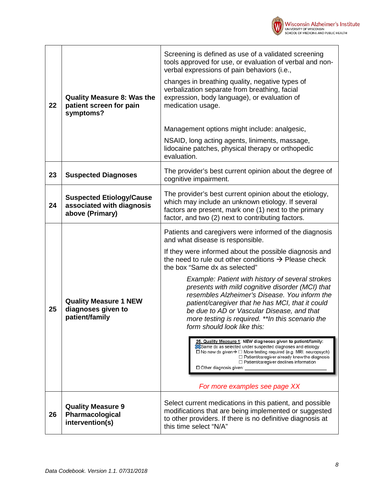

|    |                                                                                 | Screening is defined as use of a validated screening<br>tools approved for use, or evaluation of verbal and non-<br>verbal expressions of pain behaviors (i.e.,<br>changes in breathing quality, negative types of                                                                                                                                               |  |
|----|---------------------------------------------------------------------------------|------------------------------------------------------------------------------------------------------------------------------------------------------------------------------------------------------------------------------------------------------------------------------------------------------------------------------------------------------------------|--|
| 22 | <b>Quality Measure 8: Was the</b><br>patient screen for pain<br>symptoms?       | verbalization separate from breathing, facial<br>expression, body language), or evaluation of<br>medication usage.                                                                                                                                                                                                                                               |  |
|    |                                                                                 | Management options might include: analgesic,                                                                                                                                                                                                                                                                                                                     |  |
|    |                                                                                 | NSAID, long acting agents, liniments, massage,<br>lidocaine patches, physical therapy or orthopedic<br>evaluation.                                                                                                                                                                                                                                               |  |
| 23 | <b>Suspected Diagnoses</b>                                                      | The provider's best current opinion about the degree of<br>cognitive impairment.                                                                                                                                                                                                                                                                                 |  |
| 24 | <b>Suspected Etiology/Cause</b><br>associated with diagnosis<br>above (Primary) | The provider's best current opinion about the etiology,<br>which may include an unknown etiology. If several<br>factors are present, mark one (1) next to the primary<br>factor, and two (2) next to contributing factors.                                                                                                                                       |  |
|    |                                                                                 | Patients and caregivers were informed of the diagnosis<br>and what disease is responsible.                                                                                                                                                                                                                                                                       |  |
|    |                                                                                 | If they were informed about the possible diagnosis and<br>the need to rule out other conditions $\rightarrow$ Please check<br>the box "Same dx as selected"                                                                                                                                                                                                      |  |
| 25 | <b>Quality Measure 1 NEW</b><br>diagnoses given to<br>patient/family            | Example: Patient with history of several strokes<br>presents with mild cognitive disorder (MCI) that<br>resembles Alzheimer's Disease. You inform the<br>patient/caregiver that he has MCI, that it could<br>be due to AD or Vascular Disease, and that<br>more testing is required. ** In this scenario the<br>form should look like this:                      |  |
|    |                                                                                 | 25. Quality Measure 1: NEW diagnoses given to patient/family:<br>Same dx as selected under suspected diagnoses and etiology<br>$\Box$ No new dx given $\rightarrow$ $\Box$ More testing required (e.g. MRI, neuropsych)<br>$\Box$ Patient/caregiver already knew the diagnosis<br>$\Box$ Patient/caregiver declines information<br>$\Box$ Other diagnosis given: |  |
|    |                                                                                 | For more examples see page XX                                                                                                                                                                                                                                                                                                                                    |  |
| 26 | <b>Quality Measure 9</b><br>Pharmacological<br>intervention(s)                  | Select current medications in this patient, and possible<br>modifications that are being implemented or suggested<br>to other providers. If there is no definitive diagnosis at<br>this time select "N/A"                                                                                                                                                        |  |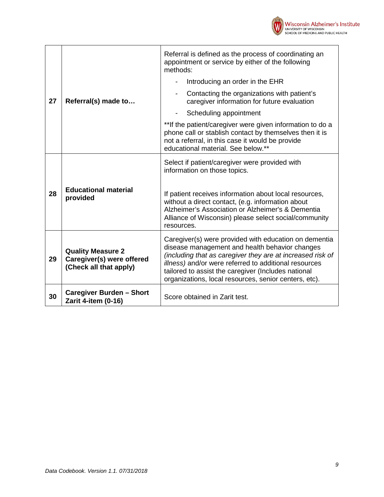

|    |                                                                                 | Referral is defined as the process of coordinating an<br>appointment or service by either of the following<br>methods:                                                                                                                                                                                                                         |  |  |
|----|---------------------------------------------------------------------------------|------------------------------------------------------------------------------------------------------------------------------------------------------------------------------------------------------------------------------------------------------------------------------------------------------------------------------------------------|--|--|
| 27 |                                                                                 | Introducing an order in the EHR                                                                                                                                                                                                                                                                                                                |  |  |
|    | Referral(s) made to                                                             | Contacting the organizations with patient's<br>$\overline{\phantom{0}}$<br>caregiver information for future evaluation                                                                                                                                                                                                                         |  |  |
|    |                                                                                 | Scheduling appointment                                                                                                                                                                                                                                                                                                                         |  |  |
|    |                                                                                 | **If the patient/caregiver were given information to do a<br>phone call or stablish contact by themselves then it is<br>not a referral, in this case it would be provide<br>educational material. See below.**                                                                                                                                 |  |  |
|    |                                                                                 | Select if patient/caregiver were provided with<br>information on those topics.                                                                                                                                                                                                                                                                 |  |  |
| 28 | <b>Educational material</b><br>provided                                         | If patient receives information about local resources,<br>without a direct contact, (e.g. information about<br>Alzheimer's Association or Alzheimer's & Dementia<br>Alliance of Wisconsin) please select social/community<br>resources.                                                                                                        |  |  |
| 29 | <b>Quality Measure 2</b><br>Caregiver(s) were offered<br>(Check all that apply) | Caregiver(s) were provided with education on dementia<br>disease management and health behavior changes<br>(including that as caregiver they are at increased risk of<br>illness) and/or were referred to additional resources<br>tailored to assist the caregiver (Includes national<br>organizations, local resources, senior centers, etc). |  |  |
| 30 | <b>Caregiver Burden - Short</b><br>Zarit 4-item (0-16)                          | Score obtained in Zarit test.                                                                                                                                                                                                                                                                                                                  |  |  |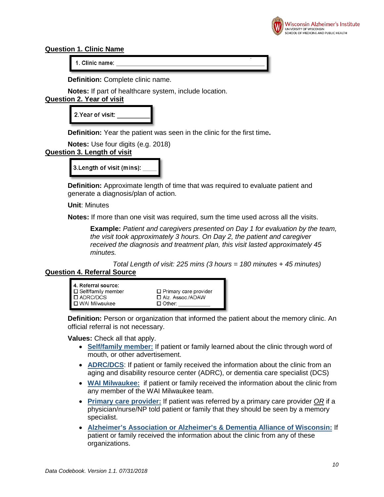

#### <span id="page-9-0"></span>**Question 1. Clinic Name**

1. Clinic name:

**Definition:** Complete clinic name.

**Notes:** If part of healthcare system, include location.

# <span id="page-9-1"></span>**Question 2. Year of visit**

| 2. Year of visit: |  |
|-------------------|--|
|                   |  |

**Definition:** Year the patient was seen in the clinic for the first time**.**

|                             | <b>Notes:</b> Use four digits (e.g. 2018) |  |  |
|-----------------------------|-------------------------------------------|--|--|
| lugetian 2   anath af vieit |                                           |  |  |

# <span id="page-9-2"></span>**Question 3. Length of visit**

3. Length of visit (mins):

**Definition:** Approximate length of time that was required to evaluate patient and generate a diagnosis/plan of action.

**Unit**: Minutes

**Notes:** If more than one visit was required, sum the time used across all the visits.

**Example:** *Patient and caregivers presented on Day 1 for evaluation by the team, the visit took approximately 3 hours. On Day 2, the patient and caregiver received the diagnosis and treatment plan, this visit lasted approximately 45 minutes.* 

<span id="page-9-3"></span>*Total Length of visit: 225 mins (3 hours = 180 minutes + 45 minutes)* **Question 4. Referral Source**

| 4. Referral source:               |                              |
|-----------------------------------|------------------------------|
| <sup>1</sup> □ Self/family member | $\Box$ Primary care provider |
| I □ ADRC/DCS_                     | □ Alz. Assoc./ADAW           |
| l □ WAI Milwaukee                 | $\Box$ Other:                |

**Definition:** Person or organization that informed the patient about the memory clinic. An official referral is not necessary.

**Values:** Check all that apply.

- **Self/family member:** If patient or family learned about the clinic through word of mouth, or other advertisement.
- **ADRC/DCS**: If patient or family received the information about the clinic from an aging and disability resource center (ADRC), or dementia care specialist (DCS)
- **WAI Milwaukee:** if patient or family received the information about the clinic from any member of the WAI Milwaukee team.
- **Primary care provider:** If patient was referred by a primary care provider *OR* if a physician/nurse/NP told patient or family that they should be seen by a memory specialist.
- **Alzheimer's Association or Alzheimer's & Dementia Alliance of Wisconsin:** If patient or family received the information about the clinic from any of these organizations.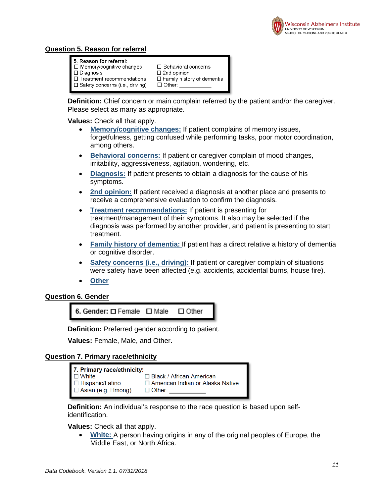

# <span id="page-10-0"></span>**Question 5. Reason for referral**

| 5. Reason for referral:                |                                   |
|----------------------------------------|-----------------------------------|
| $\Box$ Memory/cognitive changes        | $\Box$ Behavioral concerns        |
| $\blacksquare$ $\square$ Diagnosis     | $\square$ 2nd opinion             |
| $\Box$ Treatment recommendations       | $\Box$ Family history of dementia |
| $\Box$ Safety concerns (i.e., driving) | $\Box$ Other:                     |
|                                        |                                   |

**Definition:** Chief concern or main complain referred by the patient and/or the caregiver. Please select as many as appropriate.

**Values:** Check all that apply.

- **Memory/cognitive changes:** If patient complains of memory issues, forgetfulness, getting confused while performing tasks, poor motor coordination, among others.
- **Behavioral concerns:** If patient or caregiver complain of mood changes, irritability, aggressiveness, agitation, wondering, etc.
- **Diagnosis:** If patient presents to obtain a diagnosis for the cause of his symptoms.
- **2nd opinion:** If patient received a diagnosis at another place and presents to receive a comprehensive evaluation to confirm the diagnosis.
- **Treatment recommendations:** If patient is presenting for treatment/management of their symptoms. It also may be selected if the diagnosis was performed by another provider, and patient is presenting to start treatment.
- **Family history of dementia:** If patient has a direct relative a history of dementia or cognitive disorder.
- **Safety concerns (i.e., driving):** If patient or caregiver complain of situations were safety have been affected (e.g. accidents, accidental burns, house fire).
- **Other**

#### <span id="page-10-1"></span>**Question 6. Gender**

6. Gender: O Female O Male  $\square$  Other

**Definition:** Preferred gender according to patient.

**Values:** Female, Male, and Other.

#### <span id="page-10-2"></span>**Question 7. Primary race/ethnicity**

| 7. Primary race/ethnicity: |                                         |
|----------------------------|-----------------------------------------|
| ■ □ White                  | $\Box$ Black / African American         |
| □ Hispanic/Latino          | $\Box$ American Indian or Alaska Native |
| $\Box$ Asian (e.g. Hmong)  | $\Box$ Other:                           |

**Definition:** An individual's response to the race question is based upon selfidentification.

**Values:** Check all that apply.

• **White:** A person having origins in any of the original peoples of Europe, the Middle East, or North Africa.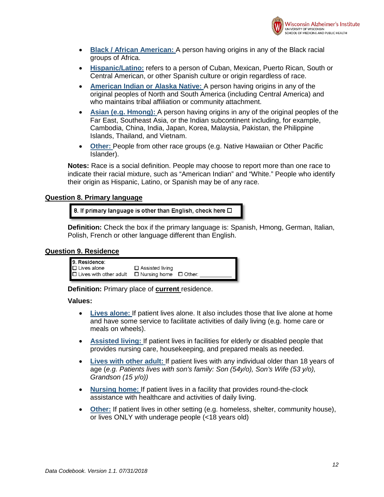

- **Black / African American:** A person having origins in any of the Black racial groups of Africa.
- **Hispanic/Latino:** refers to a person of Cuban, Mexican, Puerto Rican, South or Central American, or other Spanish culture or origin regardless of race.
- **American Indian or Alaska Native:** A person having origins in any of the original peoples of North and South America (including Central America) and who maintains tribal affiliation or community attachment.
- **Asian (e.g. Hmong):** A person having origins in any of the original peoples of the Far East, Southeast Asia, or the Indian subcontinent including, for example, Cambodia, China, India, Japan, Korea, Malaysia, Pakistan, the Philippine Islands, Thailand, and Vietnam.
- **Other:** People from other race groups (e.g. Native Hawaiian or Other Pacific Islander).

**Notes:** Race is a social definition. People may choose to report more than one race to indicate their racial mixture, such as "American Indian" and "White." People who identify their origin as Hispanic, Latino, or Spanish may be of any race.

#### <span id="page-11-0"></span>**Question 8. Primary language**

8. If primary language is other than English, check here  $\Box$ 

**Definition:** Check the box if the primary language is: Spanish, Hmong, German, Italian, Polish, French or other language different than English.

#### <span id="page-11-1"></span>**Question 9. Residence**

| 9. Residence:                 |                                   |  |
|-------------------------------|-----------------------------------|--|
| $\Box$ Lives alone            | $\Box$ Assisted living            |  |
| $\Box$ Lives with other adult | $\Box$ Nursing home $\Box$ Other: |  |

**Definition:** Primary place of **current** residence.

- **Lives alone:** If patient lives alone. It also includes those that live alone at home and have some service to facilitate activities of daily living (e.g. home care or meals on wheels).
- **Assisted living:** If patient lives in facilities for elderly or disabled people that provides nursing care, housekeeping, and prepared meals as needed.
- **Lives with other adult:** If patient lives with any individual older than 18 years of age (*e.g. Patients lives with son's family: Son (54y/o), Son's Wife (53 y/o), Grandson (15 y/o))*
- **Nursing home:** If patient lives in a facility that provides round-the-clock assistance with healthcare and activities of daily living.
- **Other:** If patient lives in other setting (e.g. homeless, shelter, community house), or lives ONLY with underage people (<18 years old)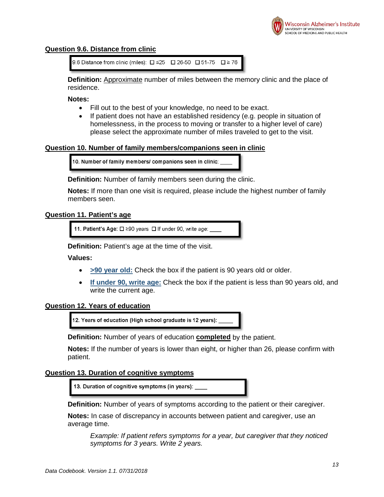

## <span id="page-12-0"></span>**Question 9.6. Distance from clinic**

```
9.6 Distance from clinic (miles): \square ≤25 \square 26-50 \square 51-75 \square ≥ 76
```
**Definition:** Approximate number of miles between the memory clinic and the place of residence.

**Notes:** 

- Fill out to the best of your knowledge, no need to be exact.
- If patient does not have an established residency (e.g. people in situation of homelessness, in the process to moving or transfer to a higher level of care) please select the approximate number of miles traveled to get to the visit.

#### <span id="page-12-1"></span>**Question 10. Number of family members/companions seen in clinic**

10. Number of family members/ companions seen in clinic:

**Definition:** Number of family members seen during the clinic.

**Notes:** If more than one visit is required, please include the highest number of family members seen.

#### <span id="page-12-2"></span>**Question 11. Patient's age**

11. Patient's Age: □ ≥90 years □ If under 90, write age:

**Definition:** Patient's age at the time of the visit.

## **Values:**

- **>90 year old:** Check the box if the patient is 90 years old or older.
- **If under 90, write age:** Check the box if the patient is less than 90 years old, and write the current age.

#### <span id="page-12-3"></span>**Question 12. Years of education**

12. Years of education (High school graduate is 12 years):

**Definition:** Number of years of education **completed** by the patient.

**Notes:** If the number of years is lower than eight, or higher than 26, please confirm with patient.

#### <span id="page-12-4"></span>**Question 13. Duration of cognitive symptoms**

13. Duration of cognitive symptoms (in years): \_\_

**Definition:** Number of years of symptoms according to the patient or their caregiver.

**Notes:** In case of discrepancy in accounts between patient and caregiver, use an average time.

*Example: If patient refers symptoms for a year, but caregiver that they noticed symptoms for 3 years. Write 2 years.*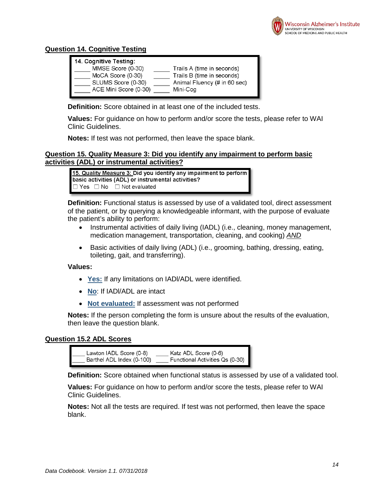

# <span id="page-13-0"></span>**Question 14. Cognitive Testing**

| 14. Cognitive Testing: |                              |
|------------------------|------------------------------|
| MMSE Score (0-30)      | Trails A (time in seconds)   |
| MoCA Score (0-30)      | Trails B (time in seconds)   |
| SLUMS Score (0-30)     | Animal Fluency (# in 60 sec) |
| ACE Mini Score (0-30)  | Mini-Cog                     |
|                        |                              |

**Definition:** Score obtained in at least one of the included tests.

**Values:** For guidance on how to perform and/or score the tests, please refer to WAI Clinic Guidelines.

**Notes:** If test was not performed, then leave the space blank.

## <span id="page-13-1"></span>**Question 15. Quality Measure 3: Did you identify any impairment to perform basic activities (ADL) or instrumental activities?**

15. Quality Measure 3: Did you identify any impairment to perform basic activities (ADL) or instrumental activities?  $\Box$  Yes  $\Box$  No  $\Box$  Not evaluated

**Definition:** Functional status is assessed by use of a validated tool, direct assessment of the patient, or by querying a knowledgeable informant, with the purpose of evaluate the patient's ability to perform:

- Instrumental activities of daily living (IADL) (i.e., cleaning, money management, medication management, transportation, cleaning, and cooking) *AND*
- Basic activities of daily living (ADL) (i.e., grooming, bathing, dressing, eating, toileting, gait, and transferring).

#### **Values:**

- **Yes:** If any limitations on IADl/ADL were identified.
- **No**: If IADl/ADL are intact
- **Not evaluated:** If assessment was not performed

**Notes:** If the person completing the form is unsure about the results of the evaluation, then leave the question blank.

#### <span id="page-13-2"></span>**Question 15.2 ADL Scores**

| Lawton IADL Score (0-8)    | Katz ADL Score (0-6)            |
|----------------------------|---------------------------------|
| Barthel ADL Index (0-100)_ | Functional Activities Qs (0-30) |

**Definition:** Score obtained when functional status is assessed by use of a validated tool.

**Values:** For guidance on how to perform and/or score the tests, please refer to WAI Clinic Guidelines.

**Notes:** Not all the tests are required. If test was not performed, then leave the space blank.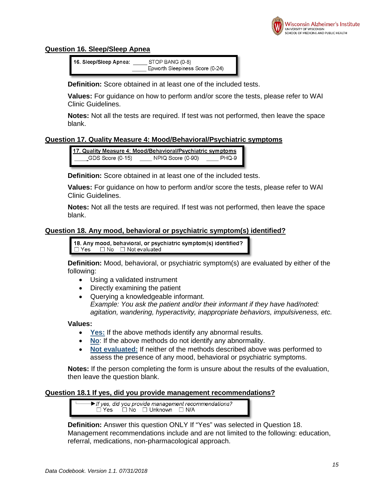

# <span id="page-14-0"></span>**Question 16. Sleep/Sleep Apnea**

16. Sleep/Sleep Apnea: STOP BANG (0-8) Epworth Sleepiness Score (0-24)

**Definition:** Score obtained in at least one of the included tests.

**Values:** For guidance on how to perform and/or score the tests, please refer to WAI Clinic Guidelines.

**Notes:** Not all the tests are required. If test was not performed, then leave the space blank.

# <span id="page-14-1"></span>**Question 17. Quality Measure 4: Mood/Behavioral/Psychiatric symptoms**

17. Quality Measure 4: Mood/Behavioral/Psychiatric symptoms GDS Score (0-15) NPIQ Score (0-90) PHQ-9

**Definition:** Score obtained in at least one of the included tests.

**Values:** For guidance on how to perform and/or score the tests, please refer to WAI Clinic Guidelines.

**Notes:** Not all the tests are required. If test was not performed, then leave the space blank.

## <span id="page-14-2"></span>**Question 18. Any mood, behavioral or psychiatric symptom(s) identified?**

18. Any mood, behavioral, or psychiatric symptom(s) identified?  $\Box$  Yes  $\Box$  No  $\Box$  Not evaluated

**Definition:** Mood, behavioral, or psychiatric symptom(s) are evaluated by either of the following:

- Using a validated instrument
- Directly examining the patient
- Querying a knowledgeable informant. *Example: You ask the patient and/or their informant if they have had/noted: agitation, wandering, hyperactivity, inappropriate behaviors, impulsiveness, etc.*

#### **Values:**

- **Yes:** If the above methods identify any abnormal results.
- **No**: If the above methods do not identify any abnormality.
- **Not evaluated:** If neither of the methods described above was performed to assess the presence of any mood, behavioral or psychiatric symptoms.

**Notes:** If the person completing the form is unsure about the results of the evaluation, then leave the question blank.

#### <span id="page-14-3"></span>**Question 18.1 If yes, did you provide management recommendations?**

If yes, did you provide management recommendations? <sup>í</sup> ΠΝο ΠUnknown ΠN/A □ Yes

**Definition:** Answer this question ONLY If "Yes" was selected in Question 18. Management recommendations include and are not limited to the following: education, referral, medications, non-pharmacological approach.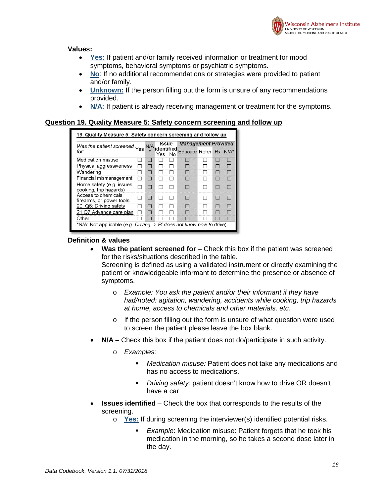

#### **Values:**

- **Yes:** If patient and/or family received information or treatment for mood symptoms, behavioral symptoms or psychiatric symptoms.
- **No**: If no additional recommendations or strategies were provided to patient and/or family.
- **Unknown:** If the person filling out the form is unsure of any recommendations provided.
- **N/A:** If patient is already receiving management or treatment for the symptoms.

#### <span id="page-15-0"></span>**Question 19. Quality Measure 5: Safety concern screening and follow up**

| 19. Quality Measure 5: Safety concern screening and follow up        |     |                                   |    |                                                     |  |                         |
|----------------------------------------------------------------------|-----|-----------------------------------|----|-----------------------------------------------------|--|-------------------------|
| Was the patient screened Yes<br>for:                                 | N/A | <b>Issue</b><br>identified<br>Yes | No | <b>Management Provided</b><br>Educate Refer Rx N/A* |  |                         |
| Medication misuse                                                    |     |                                   |    |                                                     |  |                         |
| Physical aggressiveness                                              |     |                                   |    |                                                     |  |                         |
| Wandering                                                            |     |                                   |    |                                                     |  |                         |
| Financial mismanagement                                              |     |                                   |    |                                                     |  |                         |
| Home safety (e.g. issues<br>cooking, trip hazards)                   |     |                                   |    |                                                     |  |                         |
| Access to chemicals.<br>firearms, or power tools                     |     |                                   |    |                                                     |  |                         |
| 20. Q6: Driving safety                                               |     |                                   |    |                                                     |  |                         |
| 21.Q7 Advance care plan                                              |     |                                   |    |                                                     |  |                         |
| Other:                                                               |     |                                   |    |                                                     |  | <b>ISSUE OF A STRIP</b> |
| *N/A: Not applicable (e.g. Driving -> Pt does not know how to drive) |     |                                   |    |                                                     |  |                         |

#### <span id="page-15-1"></span>**Definition & values**

• **Was the patient screened for** – Check this box if the patient was screened for the risks/situations described in the table.

Screening is defined as using a validated instrument or directly examining the patient or knowledgeable informant to determine the presence or absence of symptoms.

- o *Example: You ask the patient and/or their informant if they have had/noted: agitation, wandering, accidents while cooking, trip hazards at home, access to chemicals and other materials, etc.*
- o If the person filling out the form is unsure of what question were used to screen the patient please leave the box blank.
- <span id="page-15-2"></span>• **N/A** – Check this box if the patient does not do/participate in such activity.
	- o *Examples:* 
		- *Medication misuse:* Patient does not take any medications and has no access to medications.
		- *Driving safety*: patient doesn't know how to drive OR doesn't have a car
- <span id="page-15-3"></span>• **Issues identified** – Check the box that corresponds to the results of the screening.
	- o **Yes:** If during screening the interviewer(s) identified potential risks.
		- *Example*: Medication misuse: Patient forgets that he took his medication in the morning, so he takes a second dose later in the day.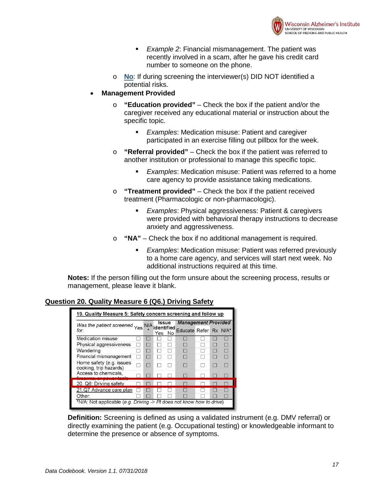

- *Example 2*: Financial mismanagement. The patient was recently involved in a scam, after he gave his credit card number to someone on the phone.
- o **No**: If during screening the interviewer(s) DID NOT identified a potential risks.
- <span id="page-16-0"></span>• **Management Provided**
	- o **"Education provided"** Check the box if the patient and/or the caregiver received any educational material or instruction about the specific topic.
		- *Examples*: Medication misuse: Patient and caregiver participated in an exercise filling out pillbox for the week.
	- o **"Referral provided"** Check the box if the patient was referred to another institution or professional to manage this specific topic.
		- *Examples*: Medication misuse: Patient was referred to a home care agency to provide assistance taking medications.
	- o **"Treatment provided"** Check the box if the patient received treatment (Pharmacologic or non-pharmacologic).
		- *Examples*: Physical aggressiveness: Patient & caregivers were provided with behavioral therapy instructions to decrease anxiety and aggressiveness.
	- o **"NA"** Check the box if no additional management is required.
		- *Examples*: Medication misuse: Patient was referred previously to a home care agency, and services will start next week. No additional instructions required at this time.

**Notes:** If the person filling out the form unsure about the screening process, results or management, please leave it blank.

# <span id="page-16-1"></span>**Question 20. Quality Measure 6 (Q6.) Driving Safety**

| 19. Quality Measure 5: Safety concern screening and follow up        |            |                                      |                                                     |  |  |
|----------------------------------------------------------------------|------------|--------------------------------------|-----------------------------------------------------|--|--|
| Was the patient screened Yes<br>for:                                 | <b>N/A</b> | <b>Issue</b><br>identified<br>Yes No | <b>Management Provided</b><br>Educate Refer Rx N/A* |  |  |
| Medication misuse                                                    |            |                                      |                                                     |  |  |
| Physical aggressiveness                                              |            |                                      |                                                     |  |  |
| Wandering                                                            |            |                                      |                                                     |  |  |
| Financial mismanagement                                              |            |                                      |                                                     |  |  |
| Home safety (e.g. issues<br>cooking, trip hazards)                   |            |                                      |                                                     |  |  |
| Access to chemicals.                                                 |            |                                      |                                                     |  |  |
| 20. Q6: Driving safety                                               |            |                                      |                                                     |  |  |
| 21.Q7 Advance care plan                                              |            |                                      |                                                     |  |  |
| Other:                                                               |            |                                      |                                                     |  |  |
| *N/A: Not applicable (e.g. Driving -> Pt does not know how to drive) |            |                                      |                                                     |  |  |

**Definition:** Screening is defined as using a validated instrument (e.g. DMV referral) or directly examining the patient (e.g. Occupational testing) or knowledgeable informant to determine the presence or absence of symptoms.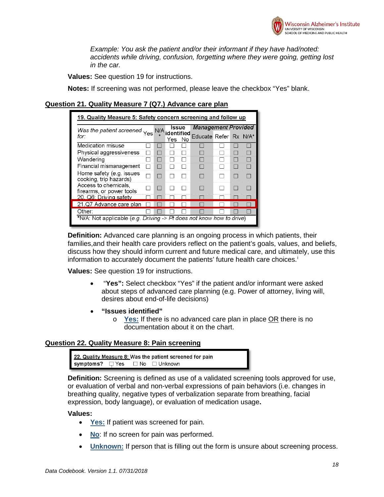

*Example: You ask the patient and/or their informant if they have had/noted: accidents while driving, confusion, forgetting where they were going, getting lost in the car.*

**Values:** See question 19 for instructions.

**Notes:** If screening was not performed, please leave the checkbox "Yes" blank.

#### <span id="page-17-0"></span>**Question 21. Quality Measure 7 (Q7.) Advance care plan**

| 19. Quality Measure 5: Safety concern screening and follow up        |     |                     |      |                                                     |  |  |
|----------------------------------------------------------------------|-----|---------------------|------|-----------------------------------------------------|--|--|
| Was the patient screened Yes<br>for:                                 | N/A | Issue<br>identified |      | <b>Management Provided</b><br>Educate Refer Rx N/A* |  |  |
| Medication misuse                                                    |     | Yes                 | - No |                                                     |  |  |
| Physical aggressiveness                                              |     |                     |      |                                                     |  |  |
| Wandering                                                            |     |                     |      |                                                     |  |  |
| Financial mismanagement                                              |     |                     |      |                                                     |  |  |
| Home safety (e.g. issues<br>cooking, trip hazards)                   |     |                     |      |                                                     |  |  |
| Access to chemicals.<br>firearms, or power tools                     |     |                     |      |                                                     |  |  |
| 20. O6: Driving safety                                               |     |                     |      |                                                     |  |  |
| 21.Q7 Advance care plan                                              |     |                     |      |                                                     |  |  |
| Other:                                                               |     |                     |      |                                                     |  |  |
| *N/A: Not applicable (e.g. Driving -> Pt does not know how to drive) |     |                     |      |                                                     |  |  |

**Definition:** Advanced care planning is an ongoing process in which patients, their families,and their health care providers reflect on the patient's goals, values, and beliefs, discuss how they should inform current and future medical care, and ultimately, use this [i](#page-23-1)nformation to accurately document the patients' future health care choices.<sup>i</sup>

**Values:** See question 19 for instructions.

- "**Yes":** Select checkbox "Yes" if the patient and/or informant were asked about steps of advanced care planning (e.g. Power of attorney, living will, desires about end-of-life decisions)
- **"Issues identified"**
	- o **Yes:** If there is no advanced care plan in place OR there is no documentation about it on the chart.

#### <span id="page-17-1"></span>**Question 22. Quality Measure 8: Pain screening**

```
22. Quality Measure 8: Was the patient screened for pain
```
**Definition:** Screening is defined as use of a validated screening tools approved for use, or evaluation of verbal and non-verbal expressions of pain behaviors (i.e. changes in breathing quality, negative types of verbalization separate from breathing, facial expression, body language), or evaluation of medication usage**.**

- **Yes:** If patient was screened for pain.
- **No**: If no screen for pain was performed.
- **Unknown:** If person that is filling out the form is unsure about screening process.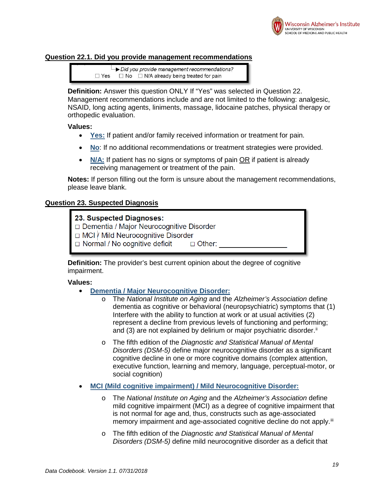

## <span id="page-18-0"></span>**Question 22.1. Did you provide management recommendations**



**Definition:** Answer this question ONLY If "Yes" was selected in Question 22. Management recommendations include and are not limited to the following: analgesic, NSAID, long acting agents, liniments, massage, lidocaine patches, physical therapy or orthopedic evaluation.

#### **Values:**

- **Yes:** If patient and/or family received information or treatment for pain.
- **No**: If no additional recommendations or treatment strategies were provided.
- **N/A:** If patient has no signs or symptoms of pain OR if patient is already receiving management or treatment of the pain.

**Notes:** If person filling out the form is unsure about the management recommendations, please leave blank.

#### <span id="page-18-1"></span>**Question 23. Suspected Diagnosis**

## 23. Suspected Diagnoses:

- Dementia / Major Neurocognitive Disorder
- □ MCI / Mild Neurocognitive Disorder
- $\Box$  Normal / No cognitive deficit  $\Box$  Other:

**Definition:** The provider's best current opinion about the degree of cognitive impairment.

- **Dementia / Major Neurocognitive Disorder:**
	- o The *National Institute on Aging* and the *Alzheimer's Association* define dementia as cognitive or behavioral (neuropsychiatric) symptoms that (1) Interfere with the ability to function at work or at usual activities (2) represent a decline from previous levels of functioning and performing; and (3) are not explained by delirium or major psychiatric disorder."
	- o The fifth edition of the *Diagnostic and Statistical Manual of Mental Disorders (DSM-5)* define major neurocognitive disorder as a significant cognitive decline in one or more cognitive domains (complex attention, executive function, learning and memory, language, perceptual-motor, or social cognition)
- **MCI (Mild cognitive impairment) / Mild Neurocognitive Disorder:**
	- o The *National Institute on Aging* and the *Alzheimer's Association* define mild cognitive impairment (MCI) as a degree of cognitive impairment that is not normal for age and, thus, constructs such as age-associated memory impairment and age-associated cognitive decline do not apply.<sup>[iii](#page-23-3)</sup>
	- o The fifth edition of the *Diagnostic and Statistical Manual of Mental Disorders (DSM-5)* define mild neurocognitive disorder as a deficit that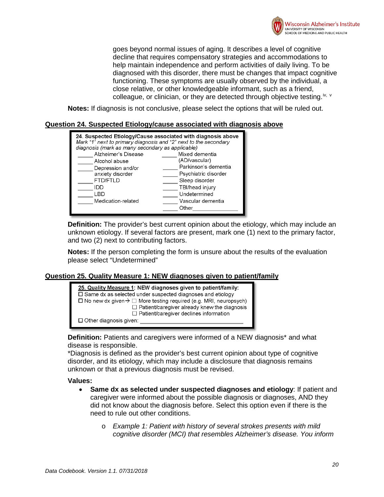

goes beyond normal issues of aging. It describes a level of cognitive decline that requires compensatory strategies and accommodations to help maintain independence and perform activities of daily living. To be diagnosed with this disorder, there must be changes that impact cognitive functioning. These symptoms are usually observed by the individual, a close relative, or other knowledgeable informant, such as a friend, colleague, or clinician, or they are detected through object[iv](#page-23-4)e testing.<sup>i[v](#page-23-5), v</sup>

**Notes:** If diagnosis is not conclusive, please select the options that will be ruled out.

<span id="page-19-0"></span>

| Mark "1" next to primary diagnosis and "2" next to the secondary<br>diagnosis (mark as many secondary as applicable) | 24. Suspected Etiology/Cause associated with diagnosis above |
|----------------------------------------------------------------------------------------------------------------------|--------------------------------------------------------------|
| Alzheimer's Disease                                                                                                  | Mixed dementia                                               |
| Alcohol abuse                                                                                                        | (AD/vascular)                                                |
| Depression and/or                                                                                                    | Parkinson's dementia                                         |
| anxiety disorder                                                                                                     | Psychiatric disorder                                         |
| <b>FTD/FTLD</b>                                                                                                      | Sleep disorder                                               |
| חחו                                                                                                                  | TBI/head injury                                              |
| I BD                                                                                                                 | Undetermined                                                 |
| Medication-related                                                                                                   | Vascular dementia                                            |
|                                                                                                                      | Other                                                        |

**Definition:** The provider's best current opinion about the etiology, which may include an unknown etiology. If several factors are present, mark one (1) next to the primary factor, and two (2) next to contributing factors.

**Notes:** If the person completing the form is unsure about the results of the evaluation please select "Undetermined"

# <span id="page-19-1"></span>**Question 25. Quality Measure 1: NEW diagnoses given to patient/family**



**Definition:** Patients and caregivers were informed of a NEW diagnosis\* and what disease is responsible.

\*Diagnosis is defined as the provider's best current opinion about type of cognitive disorder, and its etiology, which may include a disclosure that diagnosis remains unknown or that a previous diagnosis must be revised.

- <span id="page-19-2"></span>• **Same dx as selected under suspected diagnoses and etiology**: If patient and caregiver were informed about the possible diagnosis or diagnoses, AND they did not know about the diagnosis before. Select this option even if there is the need to rule out other conditions.
	- o *Example 1: Patient with history of several strokes presents with mild cognitive disorder (MCI) that resembles Alzheimer's disease. You inform*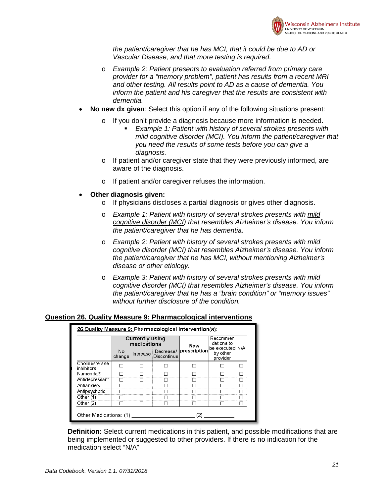

*the patient/caregiver that he has MCI, that it could be due to AD or Vascular Disease, and that more testing is required.* 

- o *Example 2: Patient presents to evaluation referred from primary care provider for a "memory problem", patient has results from a recent MRI and other testing. All results point to AD as a cause of dementia. You inform the patient and his caregiver that the results are consistent with dementia.*
- <span id="page-20-0"></span>• **No new dx given**: Select this option if any of the following situations present:
	- o If you don't provide a diagnosis because more information is needed.
		- *Example 1: Patient with history of several strokes presents with mild cognitive disorder (MCI). You inform the patient/caregiver that you need the results of some tests before you can give a diagnosis.*
	- o If patient and/or caregiver state that they were previously informed, are aware of the diagnosis.
	- o If patient and/or caregiver refuses the information.
- <span id="page-20-1"></span>• **Other diagnosis given:**
	- o If physicians discloses a partial diagnosis or gives other diagnosis.
	- o *Example 1: Patient with history of several strokes presents with mild cognitive disorder (MCI) that resembles Alzheimer's disease. You inform the patient/caregiver that he has dementia.*
	- o *Example 2: Patient with history of several strokes presents with mild cognitive disorder (MCI) that resembles Alzheimer's disease. You inform the patient/caregiver that he has MCI, without mentioning Alzheimer's disease or other etiology.*
	- o *Example 3: Patient with history of several strokes presents with mild cognitive disorder (MCI) that resembles Alzheimer's disease. You inform the patient/caregiver that he has a "brain condition" or "memory issues" without further disclosure of the condition.*

## <span id="page-20-2"></span>**Question 26. Quality Measure 9: Pharmacological interventions**

|                              |              | Currently using<br>medications |             | New                    | Recommen<br>dations to<br>lbe executedl N/A |  |
|------------------------------|--------------|--------------------------------|-------------|------------------------|---------------------------------------------|--|
|                              | No<br>change | Increase                       | Discontinue | Decrease/ prescription | by other<br>provider                        |  |
| Cholinesterase<br>inhibitors |              |                                |             |                        |                                             |  |
| Namenda®                     |              |                                |             |                        |                                             |  |
| Antidepressant               |              |                                |             |                        |                                             |  |
| Antianxiety                  |              |                                |             |                        |                                             |  |
| Antipsychotic                |              |                                |             |                        |                                             |  |
| Other $(1)$                  |              |                                |             |                        |                                             |  |
| Other $(2)$                  |              |                                |             |                        |                                             |  |

**Definition:** Select current medications in this patient, and possible modifications that are being implemented or suggested to other providers. If there is no indication for the medication select "N/A"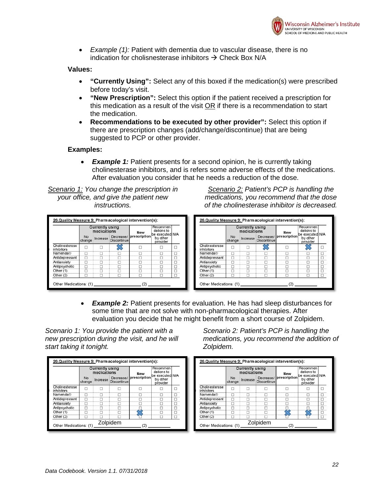

• *Example (1):* Patient with dementia due to vascular disease, there is no indication for cholisnesterase inhibitors  $\rightarrow$  Check Box N/A

#### **Values:**

- **"Currently Using":** Select any of this boxed if the medication(s) were prescribed before today's visit.
- **"New Prescription":** Select this option if the patient received a prescription for this medication as a result of the visit OR if there is a recommendation to start the medication.
- **Recommendations to be executed by other provider":** Select this option if there are prescription changes (add/change/discontinue) that are being suggested to PCP or other provider.

## **Examples:**

**Example 1:** Patient presents for a second opinion, he is currently taking cholinesterase inhibitors, and is refers some adverse effects of the medications. After evaluation you consider that he needs a reduction of the dose.

*Scenario 1: You change the prescription in your office, and give the patient new instructions.*

|                              |              | <b>Currently using</b><br>medications |                    | <b>New</b>             | Recommen<br>dations to<br>be executed N/A |       |
|------------------------------|--------------|---------------------------------------|--------------------|------------------------|-------------------------------------------|-------|
|                              | No<br>change | Increase                              | <b>Discontinue</b> | Decrease/ prescription | by other<br>provider                      |       |
| Cholinesterase<br>inhibitors |              |                                       |                    |                        |                                           |       |
| Namenda®                     |              |                                       |                    |                        |                                           |       |
| Antidepressant               |              |                                       |                    |                        |                                           |       |
| Antianxiety                  |              |                                       |                    |                        |                                           |       |
| Antipsychotic                |              |                                       |                    |                        |                                           |       |
| Other (1)                    |              |                                       |                    |                        |                                           | 11111 |
| Other $(2)$                  |              |                                       |                    |                        |                                           |       |

*Scenario 2: Patient's PCP is handling the medications, you recommend that the dose of the cholinesterase inhibitor is decreased.*



• *Example 2:* Patient presents for evaluation. He has had sleep disturbances for some time that are not solve with non-pharmacological therapies. After evaluation you decide that he might benefit from a short course of Zolpidem.

*Scenario 1: You provide the patient with a new prescription during the visit, and he will start taking it tonight.*

*Scenario 2: Patient's PCP is handling the medications, you recommend the addition of Zolpidem.*

| 26.Quality Measure 9: Pharmacological intervention(s): |              |                                       |                    |                        |                                         |  | 26.Quality Measure 9: Pharmacological intervention(s): |              |                                       |             |                        |                                         |  |
|--------------------------------------------------------|--------------|---------------------------------------|--------------------|------------------------|-----------------------------------------|--|--------------------------------------------------------|--------------|---------------------------------------|-------------|------------------------|-----------------------------------------|--|
|                                                        |              | <b>Currently using</b><br>medications |                    | New                    | Recommen<br>dations to                  |  |                                                        |              | <b>Currently using</b><br>medications |             | New                    | Recommen<br>dations to                  |  |
|                                                        | No<br>change | Increase                              | <b>Discontinue</b> | Decrease/ prescription | be executed N/A<br>by other<br>provider |  |                                                        | No<br>change | Increase                              | Discontinue | Decrease/ prescription | be executed N/A<br>by other<br>provider |  |
| Cholinesterase<br>inhibitors                           |              |                                       |                    |                        |                                         |  | Cholinesterase<br>inhibitors                           |              |                                       |             |                        |                                         |  |
| Namenda®                                               |              |                                       |                    |                        |                                         |  | Namenda®                                               |              |                                       |             |                        |                                         |  |
| Antidepressant                                         |              |                                       |                    |                        |                                         |  | Antidepressant                                         |              |                                       |             |                        |                                         |  |
| Antianxiety                                            |              |                                       |                    |                        |                                         |  | Antianxiety                                            |              |                                       |             |                        |                                         |  |
| Antipsychotic                                          |              |                                       |                    |                        |                                         |  | Antipsychotic                                          |              |                                       |             |                        |                                         |  |
| Other (1)                                              |              |                                       |                    |                        |                                         |  | Other $(1)$                                            |              |                                       |             |                        |                                         |  |
| Other $(2)$                                            |              |                                       |                    |                        |                                         |  | Other $(2)$                                            |              |                                       |             | ́                      |                                         |  |
| Other Medications: (1)                                 |              |                                       | Zolpidem           |                        |                                         |  | Other Medications: (1)                                 |              |                                       | Zolpidem    |                        |                                         |  |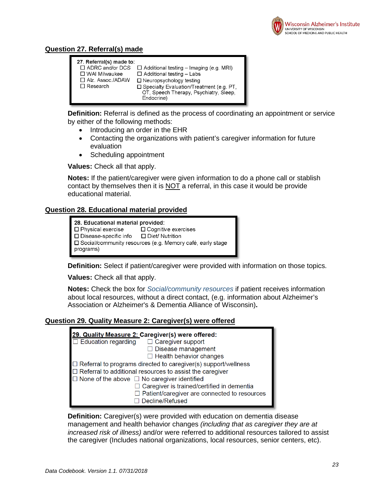

# <span id="page-22-0"></span>**Question 27. Referral(s) made**



**Definition:** Referral is defined as the process of coordinating an appointment or service by either of the following methods:

- Introducing an order in the EHR
- Contacting the organizations with patient's caregiver information for future evaluation
- Scheduling appointment

**Values:** Check all that apply.

**Notes:** If the patient/caregiver were given information to do a phone call or stablish contact by themselves then it is  $NOT$  a referral, in this case it would be provide educational material.

## <span id="page-22-1"></span>**Question 28. Educational material provided**

| 28. Educational material provided:                                            |                            |  |  |  |  |  |
|-------------------------------------------------------------------------------|----------------------------|--|--|--|--|--|
| □ Physical exercise                                                           | $\Box$ Cognitive exercises |  |  |  |  |  |
| $\square$ Disease-specific info                                               | □ Diet/ Nutrition          |  |  |  |  |  |
| $\Box$ Social/community resources (e.g. Memory café, early stage<br>programs) |                            |  |  |  |  |  |

**Definition:** Select if patient/caregiver were provided with information on those topics.

**Values:** Check all that apply.

**Notes:** Check the box for *Social/community resources* if patient receives information about local resources, without a direct contact, (e.g. information about Alzheimer's Association or Alzheimer's & Dementia Alliance of Wisconsin)**.**

#### <span id="page-22-2"></span>**Question 29. Quality Measure 2: Caregiver(s) were offered**

| 29. Quality Measure 2: Caregiver(s) were offered:                     |
|-----------------------------------------------------------------------|
| $\Box$ Education regarding $\Box$ Caregiver support                   |
| $\Box$ Disease management                                             |
| $\Box$ Health behavior changes                                        |
| $\Box$ Referral to programs directed to caregiver(s) support/wellness |
| $\Box$ Referral to additional resources to assist the caregiver       |
| $\Box$ None of the above $\Box$ No caregiver identified               |
| $\Box$ Caregiver is trained/certified in dementia                     |
| $\Box$ Patient/caregiver are connected to resources                   |
| $\Box$ Decline/Refused                                                |
|                                                                       |

**Definition:** Caregiver(s) were provided with education on dementia disease management and health behavior changes *(including that as caregiver they are at increased risk of illness)* and/or were referred to additional resources tailored to assist the caregiver (Includes national organizations, local resources, senior centers, etc).